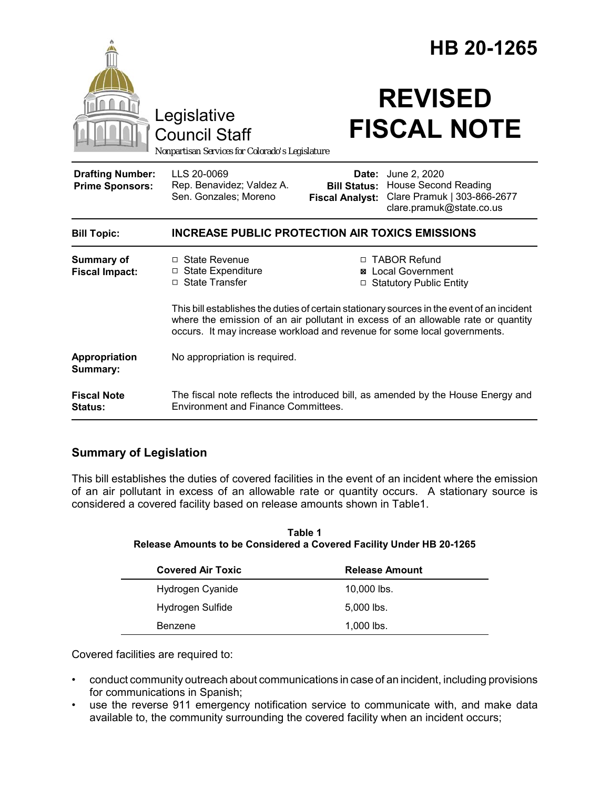|                                                   | Legislative<br><b>Council Staff</b><br>Nonpartisan Services for Colorado's Legislature                                                                        |                                               | HB 20-1265<br><b>REVISED</b><br><b>FISCAL NOTE</b>                                                                                                                   |
|---------------------------------------------------|---------------------------------------------------------------------------------------------------------------------------------------------------------------|-----------------------------------------------|----------------------------------------------------------------------------------------------------------------------------------------------------------------------|
| <b>Drafting Number:</b><br><b>Prime Sponsors:</b> | LLS 20-0069<br>Rep. Benavidez; Valdez A.<br>Sen. Gonzales; Moreno                                                                                             | <b>Bill Status:</b><br><b>Fiscal Analyst:</b> | <b>Date:</b> June 2, 2020<br><b>House Second Reading</b><br>Clare Pramuk   303-866-2677<br>clare.pramuk@state.co.us                                                  |
| <b>Bill Topic:</b>                                | <b>INCREASE PUBLIC PROTECTION AIR TOXICS EMISSIONS</b>                                                                                                        |                                               |                                                                                                                                                                      |
| <b>Summary of</b><br><b>Fiscal Impact:</b>        | $\Box$ State Revenue<br>□ State Expenditure<br>□ State Transfer                                                                                               | ⊠                                             | □ TABOR Refund<br><b>Local Government</b><br>□ Statutory Public Entity<br>This bill establishes the duties of certain stationary sources in the event of an incident |
|                                                   | where the emission of an air pollutant in excess of an allowable rate or quantity<br>occurs. It may increase workload and revenue for some local governments. |                                               |                                                                                                                                                                      |
| <b>Appropriation</b><br>Summary:                  | No appropriation is required.                                                                                                                                 |                                               |                                                                                                                                                                      |
| <b>Fiscal Note</b><br>Status:                     | The fiscal note reflects the introduced bill, as amended by the House Energy and<br>Environment and Finance Committees.                                       |                                               |                                                                                                                                                                      |

# **Summary of Legislation**

This bill establishes the duties of covered facilities in the event of an incident where the emission of an air pollutant in excess of an allowable rate or quantity occurs. A stationary source is considered a covered facility based on release amounts shown in Table1.

**Table 1 Release Amounts to be Considered a Covered Facility Under HB 20-1265**

| <b>Covered Air Toxic</b> | <b>Release Amount</b> |  |
|--------------------------|-----------------------|--|
| Hydrogen Cyanide         | $10,000$ lbs.         |  |
| Hydrogen Sulfide         | $5,000$ lbs.          |  |
| Benzene                  | $1.000$ lbs.          |  |

Covered facilities are required to:

- conduct community outreach about communications in case of an incident, including provisions for communications in Spanish;
- use the reverse 911 emergency notification service to communicate with, and make data available to, the community surrounding the covered facility when an incident occurs;